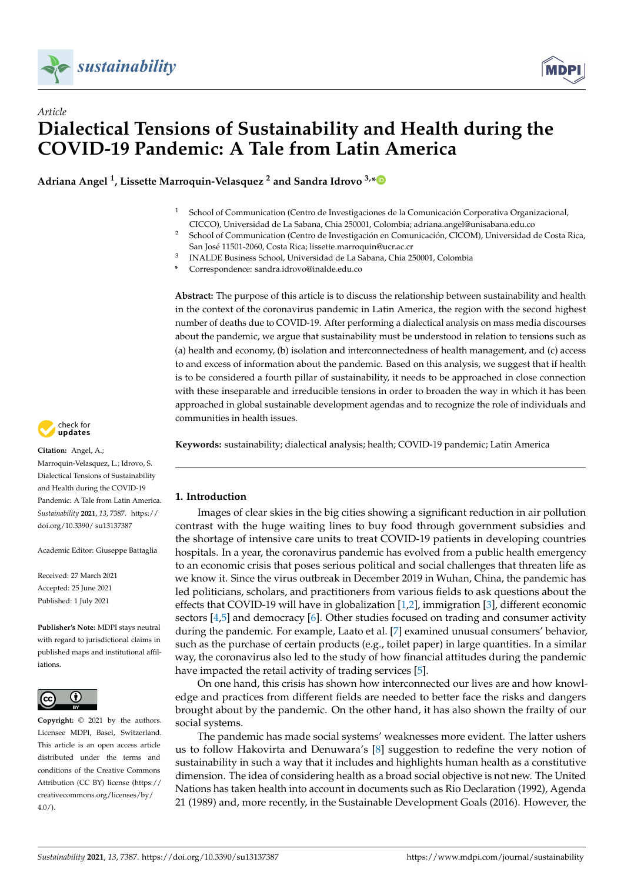



**Adriana Angel <sup>1</sup> , Lissette Marroquin-Velasquez <sup>2</sup> and Sandra Idrovo 3,[\\*](https://orcid.org/0000-0003-0922-4994)**

- <sup>1</sup> School of Communication (Centro de Investigaciones de la Comunicación Corporativa Organizacional, CICCO), Universidad de La Sabana, Chia 250001, Colombia; adriana.angel@unisabana.edu.co
- <sup>2</sup> School of Communication (Centro de Investigación en Comunicación, CICOM), Universidad de Costa Rica, San José 11501-2060, Costa Rica; lissette.marroquin@ucr.ac.cr
- 3 INALDE Business School, Universidad de La Sabana, Chia 250001, Colombia
- **\*** Correspondence: sandra.idrovo@inalde.edu.co

**Abstract:** The purpose of this article is to discuss the relationship between sustainability and health in the context of the coronavirus pandemic in Latin America, the region with the second highest number of deaths due to COVID-19. After performing a dialectical analysis on mass media discourses about the pandemic, we argue that sustainability must be understood in relation to tensions such as (a) health and economy, (b) isolation and interconnectedness of health management, and (c) access to and excess of information about the pandemic. Based on this analysis, we suggest that if health is to be considered a fourth pillar of sustainability, it needs to be approached in close connection with these inseparable and irreducible tensions in order to broaden the way in which it has been approached in global sustainable development agendas and to recognize the role of individuals and communities in health issues.

**Keywords:** sustainability; dialectical analysis; health; COVID-19 pandemic; Latin America

# **1. Introduction**

Images of clear skies in the big cities showing a significant reduction in air pollution contrast with the huge waiting lines to buy food through government subsidies and the shortage of intensive care units to treat COVID-19 patients in developing countries hospitals. In a year, the coronavirus pandemic has evolved from a public health emergency to an economic crisis that poses serious political and social challenges that threaten life as we know it. Since the virus outbreak in December 2019 in Wuhan, China, the pandemic has led politicians, scholars, and practitioners from various fields to ask questions about the effects that COVID-19 will have in globalization [\[1](#page-14-0)[,2\]](#page-14-1), immigration [\[3\]](#page-14-2), different economic sectors  $[4,5]$  $[4,5]$  and democracy  $[6]$ . Other studies focused on trading and consumer activity during the pandemic. For example, Laato et al. [\[7\]](#page-14-6) examined unusual consumers' behavior, such as the purchase of certain products (e.g., toilet paper) in large quantities. In a similar way, the coronavirus also led to the study of how financial attitudes during the pandemic have impacted the retail activity of trading services [\[5\]](#page-14-4).

On one hand, this crisis has shown how interconnected our lives are and how knowledge and practices from different fields are needed to better face the risks and dangers brought about by the pandemic. On the other hand, it has also shown the frailty of our social systems.

The pandemic has made social systems' weaknesses more evident. The latter ushers us to follow Hakovirta and Denuwara's [\[8\]](#page-14-7) suggestion to redefine the very notion of sustainability in such a way that it includes and highlights human health as a constitutive dimension. The idea of considering health as a broad social objective is not new. The United Nations has taken health into account in documents such as Rio Declaration (1992), Agenda 21 (1989) and, more recently, in the Sustainable Development Goals (2016). However, the



**Citation:** Angel, A.; Marroquin-Velasquez, L.; Idrovo, S. Dialectical Tensions of Sustainability and Health during the COVID-19 Pandemic: A Tale from Latin America. *Sustainability* **2021**, *13*, 7387. [https://](https://doi.org/10.3390/su13137387) [doi.org/10.3390/ su13137387](https://doi.org/10.3390/su13137387)

Academic Editor: Giuseppe Battaglia

Received: 27 March 2021 Accepted: 25 June 2021 Published: 1 July 2021

**Publisher's Note:** MDPI stays neutral with regard to jurisdictional claims in published maps and institutional affiliations.



**Copyright:** © 2021 by the authors. Licensee MDPI, Basel, Switzerland. This article is an open access article distributed under the terms and conditions of the Creative Commons Attribution (CC BY) license (https:/[/](https://creativecommons.org/licenses/by/4.0/) [creativecommons.org/licenses/by/](https://creativecommons.org/licenses/by/4.0/)  $4.0/$ ).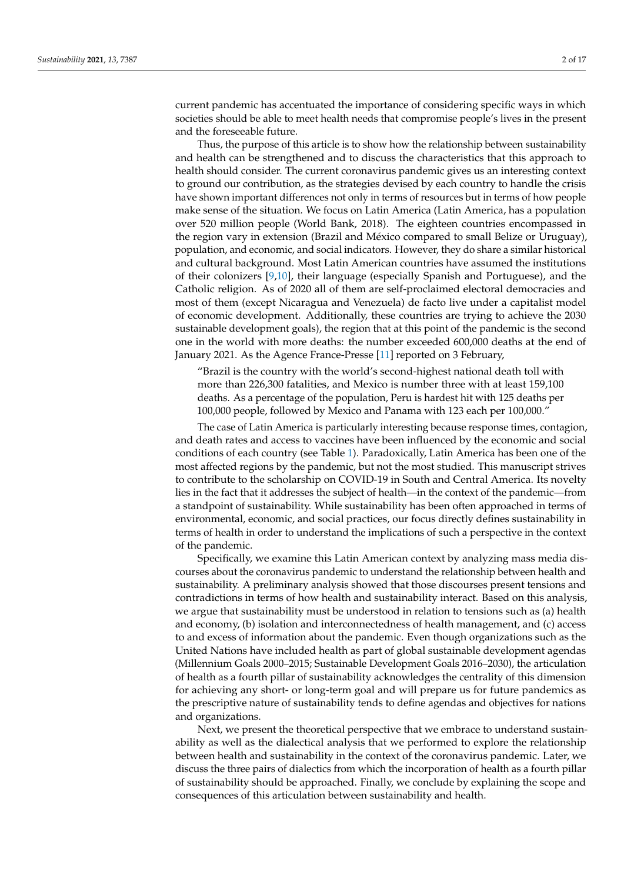current pandemic has accentuated the importance of considering specific ways in which societies should be able to meet health needs that compromise people's lives in the present and the foreseeable future.

Thus, the purpose of this article is to show how the relationship between sustainability and health can be strengthened and to discuss the characteristics that this approach to health should consider. The current coronavirus pandemic gives us an interesting context to ground our contribution, as the strategies devised by each country to handle the crisis have shown important differences not only in terms of resources but in terms of how people make sense of the situation. We focus on Latin America (Latin America, has a population over 520 million people (World Bank, 2018). The eighteen countries encompassed in the region vary in extension (Brazil and México compared to small Belize or Uruguay), population, and economic, and social indicators. However, they do share a similar historical and cultural background. Most Latin American countries have assumed the institutions of their colonizers [\[9,](#page-14-8)[10\]](#page-14-9), their language (especially Spanish and Portuguese), and the Catholic religion. As of 2020 all of them are self-proclaimed electoral democracies and most of them (except Nicaragua and Venezuela) de facto live under a capitalist model of economic development. Additionally, these countries are trying to achieve the 2030 sustainable development goals), the region that at this point of the pandemic is the second one in the world with more deaths: the number exceeded 600,000 deaths at the end of January 2021. As the Agence France-Presse [\[11\]](#page-14-10) reported on 3 February,

"Brazil is the country with the world's second-highest national death toll with more than 226,300 fatalities, and Mexico is number three with at least 159,100 deaths. As a percentage of the population, Peru is hardest hit with 125 deaths per 100,000 people, followed by Mexico and Panama with 123 each per 100,000."

The case of Latin America is particularly interesting because response times, contagion, and death rates and access to vaccines have been influenced by the economic and social conditions of each country (see Table [1\)](#page-2-0). Paradoxically, Latin America has been one of the most affected regions by the pandemic, but not the most studied. This manuscript strives to contribute to the scholarship on COVID-19 in South and Central America. Its novelty lies in the fact that it addresses the subject of health—in the context of the pandemic—from a standpoint of sustainability. While sustainability has been often approached in terms of environmental, economic, and social practices, our focus directly defines sustainability in terms of health in order to understand the implications of such a perspective in the context of the pandemic.

Specifically, we examine this Latin American context by analyzing mass media discourses about the coronavirus pandemic to understand the relationship between health and sustainability. A preliminary analysis showed that those discourses present tensions and contradictions in terms of how health and sustainability interact. Based on this analysis, we argue that sustainability must be understood in relation to tensions such as (a) health and economy, (b) isolation and interconnectedness of health management, and (c) access to and excess of information about the pandemic. Even though organizations such as the United Nations have included health as part of global sustainable development agendas (Millennium Goals 2000–2015; Sustainable Development Goals 2016–2030), the articulation of health as a fourth pillar of sustainability acknowledges the centrality of this dimension for achieving any short- or long-term goal and will prepare us for future pandemics as the prescriptive nature of sustainability tends to define agendas and objectives for nations and organizations.

Next, we present the theoretical perspective that we embrace to understand sustainability as well as the dialectical analysis that we performed to explore the relationship between health and sustainability in the context of the coronavirus pandemic. Later, we discuss the three pairs of dialectics from which the incorporation of health as a fourth pillar of sustainability should be approached. Finally, we conclude by explaining the scope and consequences of this articulation between sustainability and health.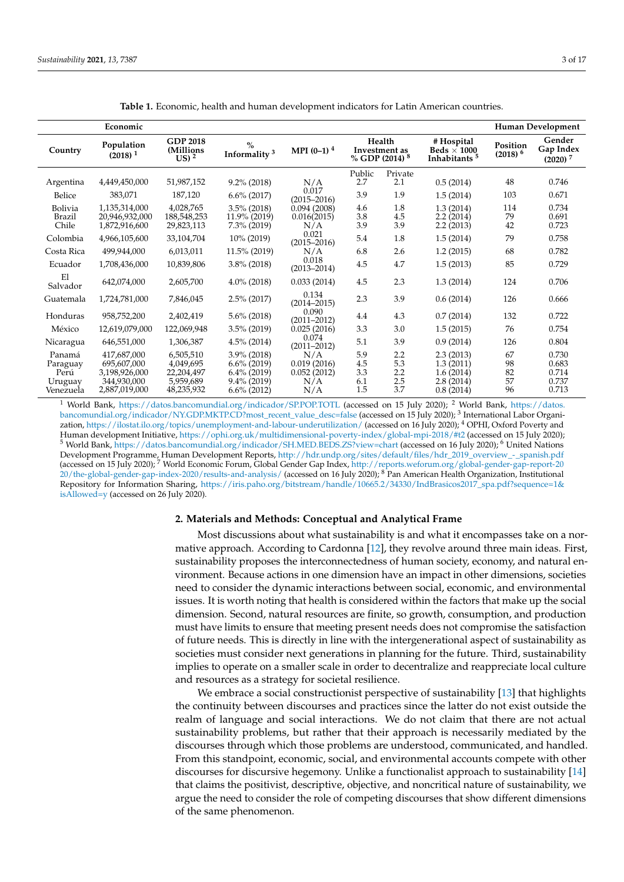<span id="page-2-0"></span>

|                                          | Economic                                                   |                                                   |                                                                      |                                          |                          |                                             |                                                              |                        | Human Development                            |
|------------------------------------------|------------------------------------------------------------|---------------------------------------------------|----------------------------------------------------------------------|------------------------------------------|--------------------------|---------------------------------------------|--------------------------------------------------------------|------------------------|----------------------------------------------|
| Country                                  | Population<br>(2018) <sup>1</sup>                          | <b>GDP 2018</b><br>(Millions<br>$US^2$            | $\frac{0}{0}$<br>Informality <sup>3</sup>                            | MPI $(0-1)$ <sup>4</sup>                 |                          | Health<br>Investment as<br>% GDP (2014) $8$ | # Hospital<br>Beds $\times$ 1000<br>Inhabitants <sup>5</sup> | Position<br>$(2018)^6$ | Gender<br>Gap Index<br>$(2020)$ <sup>7</sup> |
| Argentina                                | 4,449,450,000                                              | 51,987,152                                        | $9.2\%$ (2018)                                                       | N/A                                      | Public<br>2.7            | Private<br>2.1                              | 0.5(2014)                                                    | 48                     | 0.746                                        |
| Belice                                   | 383,071                                                    | 187,120                                           | $6.6\%$ (2017)                                                       | 0.017<br>$(2015 - 2016)$                 | 3.9                      | 1.9                                         | 1.5(2014)                                                    | 103                    | 0.671                                        |
| <b>Bolivia</b><br><b>Brazil</b><br>Chile | 1,135,314,000<br>20,946,932,000<br>1,872,916,600           | 4,028,765<br>188,548,253<br>29,823,113            | $3.5\%$ (2018)<br>11.9% (2019)<br>$7.3\%$ (2019)                     | 0.094(2008)<br>0.016(2015)<br>N/A        | 4.6<br>3.8<br>3.9        | 1.8<br>4.5<br>3.9                           | 1.3(2014)<br>2.2(2014)<br>2.2(2013)                          | 114<br>79<br>42        | 0.734<br>0.691<br>0.723                      |
| Colombia                                 | 4,966,105,600                                              | 33,104,704                                        | 10% (2019)                                                           | 0.021<br>$(2015 - 2016)$                 | 5.4                      | 1.8                                         | 1.5(2014)                                                    | 79                     | 0.758                                        |
| Costa Rica                               | 499,944,000                                                | 6,013,011                                         | 11.5% (2019)                                                         | N/A                                      | 6.8                      | 2.6                                         | 1.2(2015)                                                    | 68                     | 0.782                                        |
| Ecuador                                  | 1,708,436,000                                              | 10,839,806                                        | $3.8\%$ (2018)                                                       | 0.018<br>$(2013 - 2014)$                 | 4.5                      | 4.7                                         | 1.5(2013)                                                    | 85                     | 0.729                                        |
| E1<br>Salvador                           | 642,074,000                                                | 2,605,700                                         | $4.0\%$ (2018)                                                       | 0.033(2014)                              | 4.5                      | 2.3                                         | 1.3(2014)                                                    | 124                    | 0.706                                        |
| Guatemala                                | 1,724,781,000                                              | 7,846,045                                         | $2.5\%$ (2017)                                                       | 0.134<br>$(2014 - 2015)$                 | 2.3                      | 3.9                                         | 0.6(2014)                                                    | 126                    | 0.666                                        |
| Honduras                                 | 958,752,200                                                | 2,402,419                                         | $5.6\%$ (2018)                                                       | 0.090<br>$(2011 - 2012)$                 | 4.4                      | 4.3                                         | 0.7(2014)                                                    | 132                    | 0.722                                        |
| México                                   | 12,619,079,000                                             | 122,069,948                                       | $3.5\%$ (2019)                                                       | 0.025(2016)                              | 3.3                      | 3.0                                         | 1.5(2015)                                                    | 76                     | 0.754                                        |
| Nicaragua                                | 646,551,000                                                | 1,306,387                                         | $4.5\%$ (2014)                                                       | 0.074<br>$(2011 - 2012)$                 | 5.1                      | 3.9                                         | 0.9(2014)                                                    | 126                    | 0.804                                        |
| Panamá<br>Paraguay<br>Perú<br>Uruguay    | 417,687,000<br>695,607,000<br>3,198,926,000<br>344,930,000 | 6,505,510<br>4,049,695<br>22,204,497<br>5,959,689 | $3.9\%$ (2018)<br>$6.6\%$ (2019)<br>$6.4\%$ (2019)<br>$9.4\%$ (2019) | N/A<br>0.019(2016)<br>0.052(2012)<br>N/A | 5.9<br>4.5<br>3.3<br>6.1 | 2.2<br>5.3<br>2.2<br>2.5                    | 2.3(2013)<br>1.3(2011)<br>1.6(2014)<br>2.8(2014)             | 67<br>98<br>82<br>57   | 0.730<br>0.683<br>0.714<br>0.737             |
| Venezuela                                | 2,887,019,000                                              | 48,235,932                                        | $6.6\%$ (2012)                                                       | N/A                                      | 1.5                      | 3.7                                         | 0.8(2014)                                                    | 96                     | 0.713                                        |

**Table 1.** Economic, health and human development indicators for Latin American countries.

<sup>1</sup> World Bank, <https://datos.bancomundial.org/indicador/SP.POP.TOTL> (accessed on 15 July 2020); <sup>2</sup> World Bank, https://datos [bancomundial.org/indicador/NY.GDP.MKTP.CD?most\\_recent\\_value\\_desc=false](https://datos.bancomundial.org/indicador/NY.GDP.MKTP.CD?most_recent_value_desc=false) (accessed on 15 July 2020); <sup>3</sup> International Labor Organization, <https://ilostat.ilo.org/topics/unemployment-and-labour-underutilization/> (accessed on 16 July 2020); <sup>4</sup> OPHI, Oxford Poverty and Human development Initiative, <https://ophi.org.uk/multidimensional-poverty-index/global-mpi-2018/#t2> (accessed on 15 July 2020); <sup>5</sup> World Bank, <https://datos.bancomundial.org/indicador/SH.MED.BEDS.ZS?view=chart> (accessed on 16 July 2020); <sup>6</sup> United Nations Development Programme, Human Development Reports, [http://hdr.undp.org/sites/default/files/hdr\\_2019\\_overview\\_-\\_spanish.pdf](http://hdr.undp.org/sites/default/files/hdr_2019_overview_-_spanish.pdf) (accessed on 15 July 2020); <sup>7</sup> World Economic Forum, Global Gender Gap Index, [http://reports.weforum.org/global-gender-gap-report-20](http://reports.weforum.org/global-gender-gap-report-2020/the-global-gender-gap-index-2020/results-and-analysis/)  $^{20/\text{the-global-gender-gap-index-2020/results-and-analysis/}$  (accessed on 16 July 2020);  $^8$  Pan American Health Organization, Institutional Repository for Information Sharing, [https://iris.paho.org/bitstream/handle/10665.2/34330/IndBrasicos2017\\_spa.pdf?sequence=1&](https://iris.paho.org/bitstream/handle/10665.2/34330/IndBrasicos2017_spa.pdf?sequence=1&isAllowed=y) [isAllowed=y](https://iris.paho.org/bitstream/handle/10665.2/34330/IndBrasicos2017_spa.pdf?sequence=1&isAllowed=y) (accessed on 26 July 2020).

### **2. Materials and Methods: Conceptual and Analytical Frame**

Most discussions about what sustainability is and what it encompasses take on a normative approach. According to Cardonna [\[12\]](#page-14-11), they revolve around three main ideas. First, sustainability proposes the interconnectedness of human society, economy, and natural environment. Because actions in one dimension have an impact in other dimensions, societies need to consider the dynamic interactions between social, economic, and environmental issues. It is worth noting that health is considered within the factors that make up the social dimension. Second, natural resources are finite, so growth, consumption, and production must have limits to ensure that meeting present needs does not compromise the satisfaction of future needs. This is directly in line with the intergenerational aspect of sustainability as societies must consider next generations in planning for the future. Third, sustainability implies to operate on a smaller scale in order to decentralize and reappreciate local culture and resources as a strategy for societal resilience.

We embrace a social constructionist perspective of sustainability [\[13\]](#page-14-12) that highlights the continuity between discourses and practices since the latter do not exist outside the realm of language and social interactions. We do not claim that there are not actual sustainability problems, but rather that their approach is necessarily mediated by the discourses through which those problems are understood, communicated, and handled. From this standpoint, economic, social, and environmental accounts compete with other discourses for discursive hegemony. Unlike a functionalist approach to sustainability [\[14\]](#page-14-13) that claims the positivist, descriptive, objective, and noncritical nature of sustainability, we argue the need to consider the role of competing discourses that show different dimensions of the same phenomenon.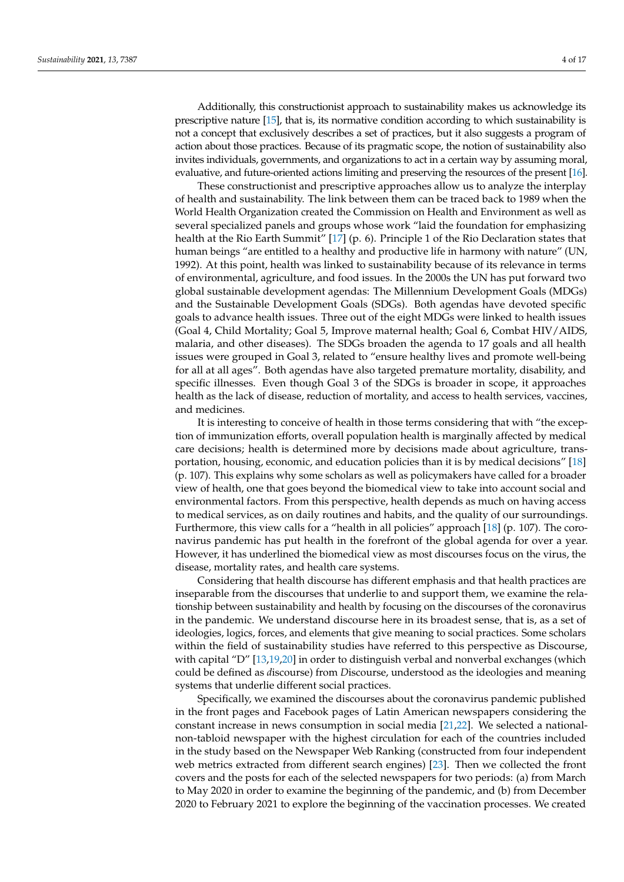Additionally, this constructionist approach to sustainability makes us acknowledge its prescriptive nature [\[15\]](#page-14-14), that is, its normative condition according to which sustainability is not a concept that exclusively describes a set of practices, but it also suggests a program of action about those practices. Because of its pragmatic scope, the notion of sustainability also invites individuals, governments, and organizations to act in a certain way by assuming moral, evaluative, and future-oriented actions limiting and preserving the resources of the present [\[16\]](#page-14-15).

These constructionist and prescriptive approaches allow us to analyze the interplay of health and sustainability. The link between them can be traced back to 1989 when the World Health Organization created the Commission on Health and Environment as well as several specialized panels and groups whose work "laid the foundation for emphasizing health at the Rio Earth Summit" [\[17\]](#page-14-16) (p. 6). Principle 1 of the Rio Declaration states that human beings "are entitled to a healthy and productive life in harmony with nature" (UN, 1992). At this point, health was linked to sustainability because of its relevance in terms of environmental, agriculture, and food issues. In the 2000s the UN has put forward two global sustainable development agendas: The Millennium Development Goals (MDGs) and the Sustainable Development Goals (SDGs). Both agendas have devoted specific goals to advance health issues. Three out of the eight MDGs were linked to health issues (Goal 4, Child Mortality; Goal 5, Improve maternal health; Goal 6, Combat HIV/AIDS, malaria, and other diseases). The SDGs broaden the agenda to 17 goals and all health issues were grouped in Goal 3, related to "ensure healthy lives and promote well-being for all at all ages". Both agendas have also targeted premature mortality, disability, and specific illnesses. Even though Goal 3 of the SDGs is broader in scope, it approaches health as the lack of disease, reduction of mortality, and access to health services, vaccines, and medicines.

It is interesting to conceive of health in those terms considering that with "the exception of immunization efforts, overall population health is marginally affected by medical care decisions; health is determined more by decisions made about agriculture, transportation, housing, economic, and education policies than it is by medical decisions" [\[18\]](#page-14-17) (p. 107). This explains why some scholars as well as policymakers have called for a broader view of health, one that goes beyond the biomedical view to take into account social and environmental factors. From this perspective, health depends as much on having access to medical services, as on daily routines and habits, and the quality of our surroundings. Furthermore, this view calls for a "health in all policies" approach [\[18\]](#page-14-17) (p. 107). The coronavirus pandemic has put health in the forefront of the global agenda for over a year. However, it has underlined the biomedical view as most discourses focus on the virus, the disease, mortality rates, and health care systems.

Considering that health discourse has different emphasis and that health practices are inseparable from the discourses that underlie to and support them, we examine the relationship between sustainability and health by focusing on the discourses of the coronavirus in the pandemic. We understand discourse here in its broadest sense, that is, as a set of ideologies, logics, forces, and elements that give meaning to social practices. Some scholars within the field of sustainability studies have referred to this perspective as Discourse, with capital "D" [\[13](#page-14-12)[,19](#page-14-18)[,20\]](#page-14-19) in order to distinguish verbal and nonverbal exchanges (which could be defined as *d*iscourse) from *D*iscourse, understood as the ideologies and meaning systems that underlie different social practices.

Specifically, we examined the discourses about the coronavirus pandemic published in the front pages and Facebook pages of Latin American newspapers considering the constant increase in news consumption in social media [\[21](#page-14-20)[,22\]](#page-14-21). We selected a nationalnon-tabloid newspaper with the highest circulation for each of the countries included in the study based on the Newspaper Web Ranking (constructed from four independent web metrics extracted from different search engines) [\[23\]](#page-14-22). Then we collected the front covers and the posts for each of the selected newspapers for two periods: (a) from March to May 2020 in order to examine the beginning of the pandemic, and (b) from December 2020 to February 2021 to explore the beginning of the vaccination processes. We created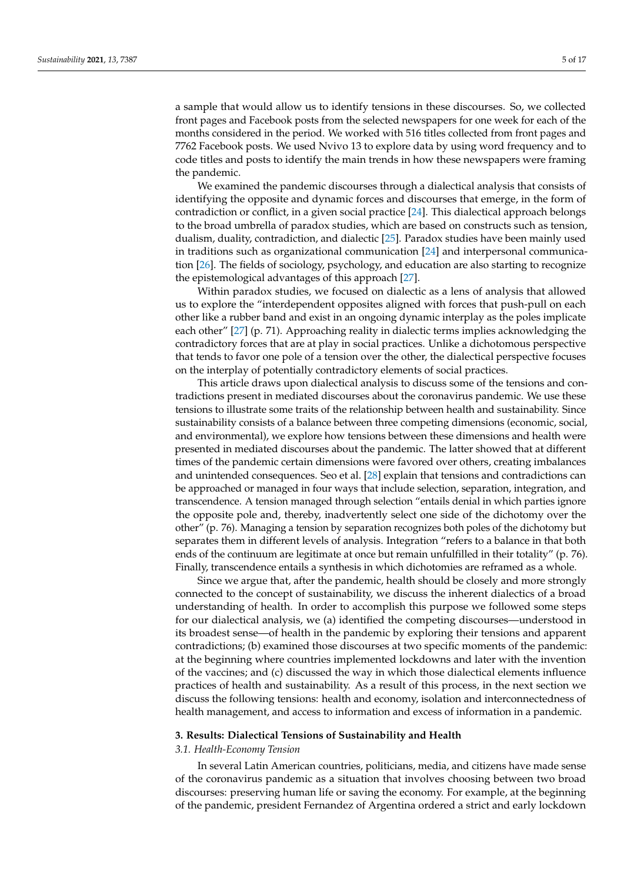a sample that would allow us to identify tensions in these discourses. So, we collected front pages and Facebook posts from the selected newspapers for one week for each of the months considered in the period. We worked with 516 titles collected from front pages and 7762 Facebook posts. We used Nvivo 13 to explore data by using word frequency and to code titles and posts to identify the main trends in how these newspapers were framing the pandemic.

We examined the pandemic discourses through a dialectical analysis that consists of identifying the opposite and dynamic forces and discourses that emerge, in the form of contradiction or conflict, in a given social practice [\[24\]](#page-14-23). This dialectical approach belongs to the broad umbrella of paradox studies, which are based on constructs such as tension, dualism, duality, contradiction, and dialectic [\[25\]](#page-14-24). Paradox studies have been mainly used in traditions such as organizational communication [\[24\]](#page-14-23) and interpersonal communication [\[26\]](#page-14-25). The fields of sociology, psychology, and education are also starting to recognize the epistemological advantages of this approach [\[27\]](#page-14-26).

Within paradox studies, we focused on dialectic as a lens of analysis that allowed us to explore the "interdependent opposites aligned with forces that push-pull on each other like a rubber band and exist in an ongoing dynamic interplay as the poles implicate each other" [\[27\]](#page-14-26) (p. 71). Approaching reality in dialectic terms implies acknowledging the contradictory forces that are at play in social practices. Unlike a dichotomous perspective that tends to favor one pole of a tension over the other, the dialectical perspective focuses on the interplay of potentially contradictory elements of social practices.

This article draws upon dialectical analysis to discuss some of the tensions and contradictions present in mediated discourses about the coronavirus pandemic. We use these tensions to illustrate some traits of the relationship between health and sustainability. Since sustainability consists of a balance between three competing dimensions (economic, social, and environmental), we explore how tensions between these dimensions and health were presented in mediated discourses about the pandemic. The latter showed that at different times of the pandemic certain dimensions were favored over others, creating imbalances and unintended consequences. Seo et al. [\[28\]](#page-15-0) explain that tensions and contradictions can be approached or managed in four ways that include selection, separation, integration, and transcendence. A tension managed through selection "entails denial in which parties ignore the opposite pole and, thereby, inadvertently select one side of the dichotomy over the other" (p. 76). Managing a tension by separation recognizes both poles of the dichotomy but separates them in different levels of analysis. Integration "refers to a balance in that both ends of the continuum are legitimate at once but remain unfulfilled in their totality" (p. 76). Finally, transcendence entails a synthesis in which dichotomies are reframed as a whole.

Since we argue that, after the pandemic, health should be closely and more strongly connected to the concept of sustainability, we discuss the inherent dialectics of a broad understanding of health. In order to accomplish this purpose we followed some steps for our dialectical analysis, we (a) identified the competing discourses—understood in its broadest sense—of health in the pandemic by exploring their tensions and apparent contradictions; (b) examined those discourses at two specific moments of the pandemic: at the beginning where countries implemented lockdowns and later with the invention of the vaccines; and (c) discussed the way in which those dialectical elements influence practices of health and sustainability. As a result of this process, in the next section we discuss the following tensions: health and economy, isolation and interconnectedness of health management, and access to information and excess of information in a pandemic.

### **3. Results: Dialectical Tensions of Sustainability and Health**

# *3.1. Health-Economy Tension*

In several Latin American countries, politicians, media, and citizens have made sense of the coronavirus pandemic as a situation that involves choosing between two broad discourses: preserving human life or saving the economy. For example, at the beginning of the pandemic, president Fernandez of Argentina ordered a strict and early lockdown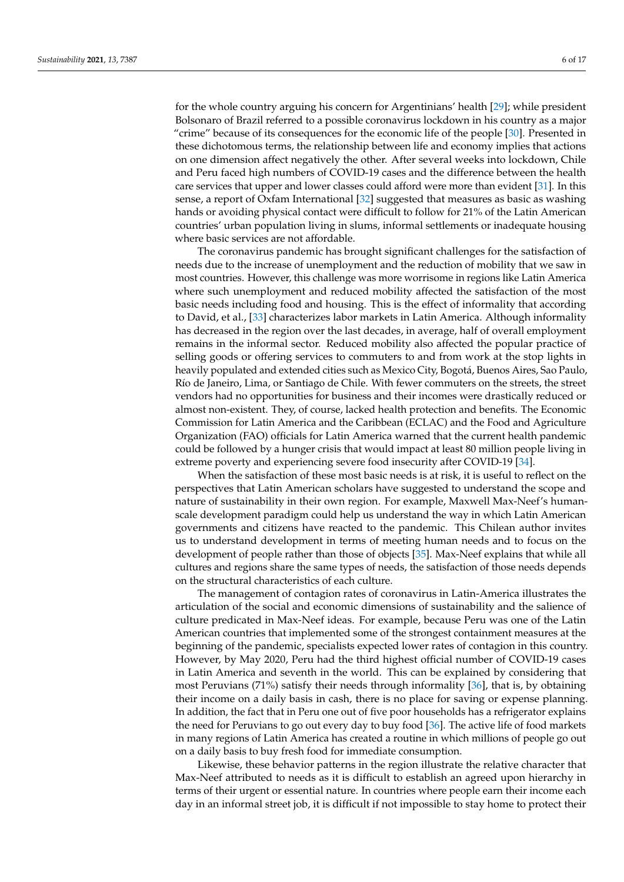for the whole country arguing his concern for Argentinians' health [\[29\]](#page-15-1); while president Bolsonaro of Brazil referred to a possible coronavirus lockdown in his country as a major "crime" because of its consequences for the economic life of the people [\[30\]](#page-15-2). Presented in these dichotomous terms, the relationship between life and economy implies that actions on one dimension affect negatively the other. After several weeks into lockdown, Chile and Peru faced high numbers of COVID-19 cases and the difference between the health care services that upper and lower classes could afford were more than evident [\[31\]](#page-15-3). In this sense, a report of Oxfam International [\[32\]](#page-15-4) suggested that measures as basic as washing hands or avoiding physical contact were difficult to follow for 21% of the Latin American countries' urban population living in slums, informal settlements or inadequate housing where basic services are not affordable.

The coronavirus pandemic has brought significant challenges for the satisfaction of needs due to the increase of unemployment and the reduction of mobility that we saw in most countries. However, this challenge was more worrisome in regions like Latin America where such unemployment and reduced mobility affected the satisfaction of the most basic needs including food and housing. This is the effect of informality that according to David, et al., [\[33\]](#page-15-5) characterizes labor markets in Latin America. Although informality has decreased in the region over the last decades, in average, half of overall employment remains in the informal sector. Reduced mobility also affected the popular practice of selling goods or offering services to commuters to and from work at the stop lights in heavily populated and extended cities such as Mexico City, Bogotá, Buenos Aires, Sao Paulo, Río de Janeiro, Lima, or Santiago de Chile. With fewer commuters on the streets, the street vendors had no opportunities for business and their incomes were drastically reduced or almost non-existent. They, of course, lacked health protection and benefits. The Economic Commission for Latin America and the Caribbean (ECLAC) and the Food and Agriculture Organization (FAO) officials for Latin America warned that the current health pandemic could be followed by a hunger crisis that would impact at least 80 million people living in extreme poverty and experiencing severe food insecurity after COVID-19 [\[34\]](#page-15-6).

When the satisfaction of these most basic needs is at risk, it is useful to reflect on the perspectives that Latin American scholars have suggested to understand the scope and nature of sustainability in their own region. For example, Maxwell Max-Neef's humanscale development paradigm could help us understand the way in which Latin American governments and citizens have reacted to the pandemic. This Chilean author invites us to understand development in terms of meeting human needs and to focus on the development of people rather than those of objects [\[35\]](#page-15-7). Max-Neef explains that while all cultures and regions share the same types of needs, the satisfaction of those needs depends on the structural characteristics of each culture.

The management of contagion rates of coronavirus in Latin-America illustrates the articulation of the social and economic dimensions of sustainability and the salience of culture predicated in Max-Neef ideas. For example, because Peru was one of the Latin American countries that implemented some of the strongest containment measures at the beginning of the pandemic, specialists expected lower rates of contagion in this country. However, by May 2020, Peru had the third highest official number of COVID-19 cases in Latin America and seventh in the world. This can be explained by considering that most Peruvians (71%) satisfy their needs through informality [\[36\]](#page-15-8), that is, by obtaining their income on a daily basis in cash, there is no place for saving or expense planning. In addition, the fact that in Peru one out of five poor households has a refrigerator explains the need for Peruvians to go out every day to buy food [\[36\]](#page-15-8). The active life of food markets in many regions of Latin America has created a routine in which millions of people go out on a daily basis to buy fresh food for immediate consumption.

Likewise, these behavior patterns in the region illustrate the relative character that Max-Neef attributed to needs as it is difficult to establish an agreed upon hierarchy in terms of their urgent or essential nature. In countries where people earn their income each day in an informal street job, it is difficult if not impossible to stay home to protect their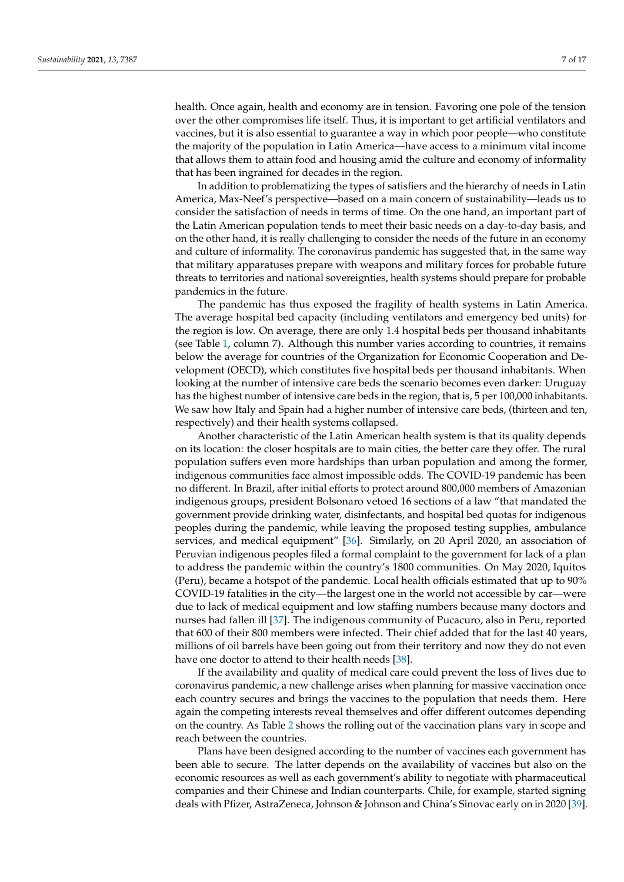health. Once again, health and economy are in tension. Favoring one pole of the tension over the other compromises life itself. Thus, it is important to get artificial ventilators and vaccines, but it is also essential to guarantee a way in which poor people—who constitute the majority of the population in Latin America—have access to a minimum vital income that allows them to attain food and housing amid the culture and economy of informality that has been ingrained for decades in the region.

In addition to problematizing the types of satisfiers and the hierarchy of needs in Latin America, Max-Neef's perspective—based on a main concern of sustainability—leads us to consider the satisfaction of needs in terms of time. On the one hand, an important part of the Latin American population tends to meet their basic needs on a day-to-day basis, and on the other hand, it is really challenging to consider the needs of the future in an economy and culture of informality. The coronavirus pandemic has suggested that, in the same way that military apparatuses prepare with weapons and military forces for probable future threats to territories and national sovereignties, health systems should prepare for probable pandemics in the future.

The pandemic has thus exposed the fragility of health systems in Latin America. The average hospital bed capacity (including ventilators and emergency bed units) for the region is low. On average, there are only 1.4 hospital beds per thousand inhabitants (see Table [1,](#page-2-0) column 7). Although this number varies according to countries, it remains below the average for countries of the Organization for Economic Cooperation and Development (OECD), which constitutes five hospital beds per thousand inhabitants. When looking at the number of intensive care beds the scenario becomes even darker: Uruguay has the highest number of intensive care beds in the region, that is, 5 per 100,000 inhabitants. We saw how Italy and Spain had a higher number of intensive care beds, (thirteen and ten, respectively) and their health systems collapsed.

Another characteristic of the Latin American health system is that its quality depends on its location: the closer hospitals are to main cities, the better care they offer. The rural population suffers even more hardships than urban population and among the former, indigenous communities face almost impossible odds. The COVID-19 pandemic has been no different. In Brazil, after initial efforts to protect around 800,000 members of Amazonian indigenous groups, president Bolsonaro vetoed 16 sections of a law "that mandated the government provide drinking water, disinfectants, and hospital bed quotas for indigenous peoples during the pandemic, while leaving the proposed testing supplies, ambulance services, and medical equipment" [\[36\]](#page-15-8). Similarly, on 20 April 2020, an association of Peruvian indigenous peoples filed a formal complaint to the government for lack of a plan to address the pandemic within the country's 1800 communities. On May 2020, Iquitos (Peru), became a hotspot of the pandemic. Local health officials estimated that up to 90% COVID-19 fatalities in the city—the largest one in the world not accessible by car—were due to lack of medical equipment and low staffing numbers because many doctors and nurses had fallen ill [\[37\]](#page-15-9). The indigenous community of Pucacuro, also in Peru, reported that 600 of their 800 members were infected. Their chief added that for the last 40 years, millions of oil barrels have been going out from their territory and now they do not even have one doctor to attend to their health needs [\[38\]](#page-15-10).

If the availability and quality of medical care could prevent the loss of lives due to coronavirus pandemic, a new challenge arises when planning for massive vaccination once each country secures and brings the vaccines to the population that needs them. Here again the competing interests reveal themselves and offer different outcomes depending on the country. As Table [2](#page-7-0) shows the rolling out of the vaccination plans vary in scope and reach between the countries.

Plans have been designed according to the number of vaccines each government has been able to secure. The latter depends on the availability of vaccines but also on the economic resources as well as each government's ability to negotiate with pharmaceutical companies and their Chinese and Indian counterparts. Chile, for example, started signing deals with Pfizer, AstraZeneca, Johnson & Johnson and China's Sinovac early on in 2020 [\[39\]](#page-15-11).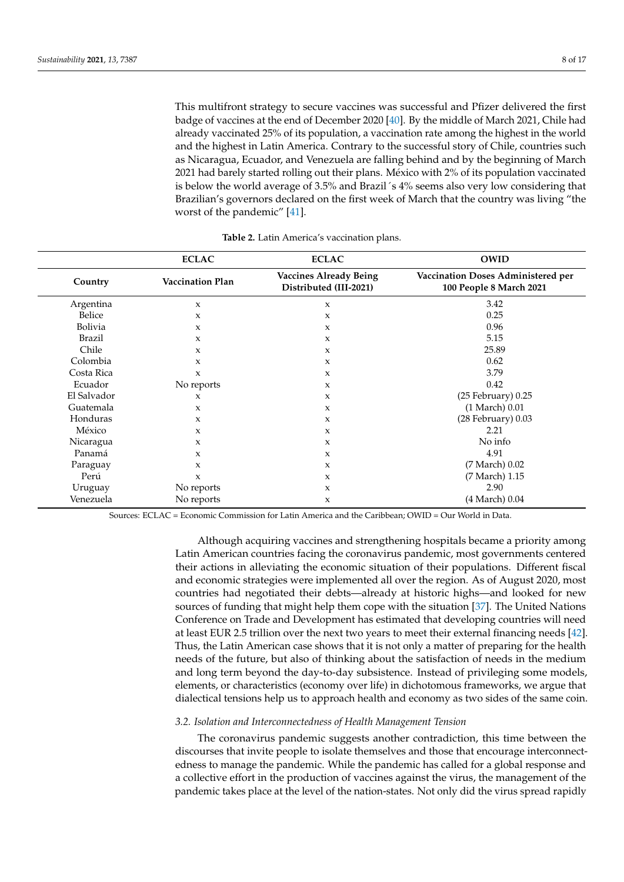This multifront strategy to secure vaccines was successful and Pfizer delivered the first badge of vaccines at the end of December 2020 [\[40\]](#page-15-12). By the middle of March 2021, Chile had already vaccinated 25% of its population, a vaccination rate among the highest in the world and the highest in Latin America. Contrary to the successful story of Chile, countries such as Nicaragua, Ecuador, and Venezuela are falling behind and by the beginning of March 2021 had barely started rolling out their plans. México with 2% of its population vaccinated is below the world average of 3.5% and Brazil´s 4% seems also very low considering that Brazilian's governors declared on the first week of March that the country was living "the worst of the pandemic" [\[41\]](#page-15-13).

<span id="page-7-0"></span>

|                | <b>ECLAC</b>            | <b>ECLAC</b>                                            | <b>OWID</b>                                                   |
|----------------|-------------------------|---------------------------------------------------------|---------------------------------------------------------------|
| Country        | <b>Vaccination Plan</b> | <b>Vaccines Already Being</b><br>Distributed (III-2021) | Vaccination Doses Administered per<br>100 People 8 March 2021 |
| Argentina      | $\mathbf x$             | X                                                       | 3.42                                                          |
| Belice         | X                       | X                                                       | 0.25                                                          |
| <b>Bolivia</b> | X                       | X                                                       | 0.96                                                          |
| Brazil         | X                       | X                                                       | 5.15                                                          |
| Chile          | X                       | $\mathbf{x}$                                            | 25.89                                                         |
| Colombia       | X                       | $\boldsymbol{\chi}$                                     | 0.62                                                          |
| Costa Rica     | $\mathbf{x}$            | $\boldsymbol{\chi}$                                     | 3.79                                                          |
| Ecuador        | No reports              | $\mathbf{x}$                                            | 0.42                                                          |
| El Salvador    | X                       | X                                                       | $(25$ February $)$ 0.25                                       |
| Guatemala      | X                       | $\mathbf x$                                             | (1 March) 0.01                                                |
| Honduras       | $\mathbf{x}$            | $\mathbf{x}$                                            | $(28$ February $)$ 0.03                                       |
| México         | X                       | $\mathbf{x}$                                            | 2.21                                                          |
| Nicaragua      | X                       | X                                                       | No info                                                       |
| Panamá         | X                       | $\mathbf{x}$                                            | 4.91                                                          |
| Paraguay       | X                       | $\mathbf{x}$                                            | (7 March) 0.02                                                |
| Perú           | X                       | $\boldsymbol{\mathsf{x}}$                               | (7 March) 1.15                                                |
| Uruguay        | No reports              | X                                                       | 2.90                                                          |
| Venezuela      | No reports              | X                                                       | (4 March) 0.04                                                |

**Table 2.** Latin America's vaccination plans.

Sources: ECLAC = Economic Commission for Latin America and the Caribbean; OWID = Our World in Data.

Although acquiring vaccines and strengthening hospitals became a priority among Latin American countries facing the coronavirus pandemic, most governments centered their actions in alleviating the economic situation of their populations. Different fiscal and economic strategies were implemented all over the region. As of August 2020, most countries had negotiated their debts—already at historic highs—and looked for new sources of funding that might help them cope with the situation [\[37\]](#page-15-9). The United Nations Conference on Trade and Development has estimated that developing countries will need at least EUR 2.5 trillion over the next two years to meet their external financing needs [\[42\]](#page-15-14). Thus, the Latin American case shows that it is not only a matter of preparing for the health needs of the future, but also of thinking about the satisfaction of needs in the medium and long term beyond the day-to-day subsistence. Instead of privileging some models, elements, or characteristics (economy over life) in dichotomous frameworks, we argue that dialectical tensions help us to approach health and economy as two sides of the same coin.

### *3.2. Isolation and Interconnectedness of Health Management Tension*

The coronavirus pandemic suggests another contradiction, this time between the discourses that invite people to isolate themselves and those that encourage interconnectedness to manage the pandemic. While the pandemic has called for a global response and a collective effort in the production of vaccines against the virus, the management of the pandemic takes place at the level of the nation-states. Not only did the virus spread rapidly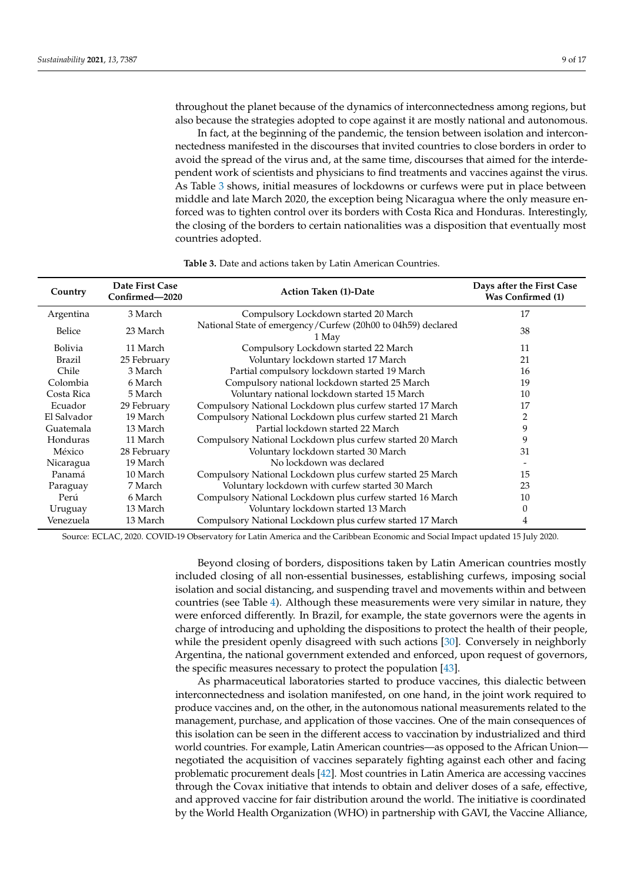throughout the planet because of the dynamics of interconnectedness among regions, but also because the strategies adopted to cope against it are mostly national and autonomous.

In fact, at the beginning of the pandemic, the tension between isolation and interconnectedness manifested in the discourses that invited countries to close borders in order to avoid the spread of the virus and, at the same time, discourses that aimed for the interdependent work of scientists and physicians to find treatments and vaccines against the virus. As Table [3](#page-8-0) shows, initial measures of lockdowns or curfews were put in place between middle and late March 2020, the exception being Nicaragua where the only measure enforced was to tighten control over its borders with Costa Rica and Honduras. Interestingly, the closing of the borders to certain nationalities was a disposition that eventually most countries adopted.

<span id="page-8-0"></span>

| Country        | Date First Case<br><b>Action Taken (1)-Date</b><br>Confirmed-2020 |                                                                       | Days after the First Case<br><b>Was Confirmed (1)</b> |
|----------------|-------------------------------------------------------------------|-----------------------------------------------------------------------|-------------------------------------------------------|
| Argentina      | 3 March                                                           | Compulsory Lockdown started 20 March                                  | 17                                                    |
| Belice         | 23 March                                                          | National State of emergency/Curfew (20h00 to 04h59) declared<br>1 May | 38                                                    |
| <b>Bolivia</b> | 11 March                                                          | Compulsory Lockdown started 22 March                                  | 11                                                    |
| Brazil         | 25 February                                                       | Voluntary lockdown started 17 March                                   | 21                                                    |
| Chile          | 3 March                                                           | Partial compulsory lockdown started 19 March                          | 16                                                    |
| Colombia       | 6 March                                                           | Compulsory national lockdown started 25 March                         | 19                                                    |
| Costa Rica     | 5 March                                                           | Voluntary national lockdown started 15 March                          | 10                                                    |
| Ecuador        | 29 February                                                       | Compulsory National Lockdown plus curfew started 17 March             | 17                                                    |
| El Salvador    | 19 March                                                          | Compulsory National Lockdown plus curfew started 21 March             | 2                                                     |
| Guatemala      | 13 March                                                          | Partial lockdown started 22 March                                     | 9                                                     |
| Honduras       | 11 March                                                          | Compulsory National Lockdown plus curfew started 20 March             | 9                                                     |
| México         | 28 February                                                       | Voluntary lockdown started 30 March                                   | 31                                                    |
| Nicaragua      | 19 March                                                          | No lockdown was declared                                              |                                                       |
| Panamá         | 10 March                                                          | Compulsory National Lockdown plus curfew started 25 March             | 15                                                    |
| Paraguay       | 7 March                                                           | Voluntary lockdown with curfew started 30 March                       | 23                                                    |
| Perú           | 6 March                                                           | Compulsory National Lockdown plus curfew started 16 March             | 10                                                    |
| Uruguay        | 13 March                                                          | Voluntary lockdown started 13 March                                   | 0                                                     |
| Venezuela      | 13 March                                                          | Compulsory National Lockdown plus curfew started 17 March             | 4                                                     |

**Table 3.** Date and actions taken by Latin American Countries.

Source: ECLAC, 2020. COVID-19 Observatory for Latin America and the Caribbean Economic and Social Impact updated 15 July 2020.

Beyond closing of borders, dispositions taken by Latin American countries mostly included closing of all non-essential businesses, establishing curfews, imposing social isolation and social distancing, and suspending travel and movements within and between countries (see Table [4\)](#page-9-0). Although these measurements were very similar in nature, they were enforced differently. In Brazil, for example, the state governors were the agents in charge of introducing and upholding the dispositions to protect the health of their people, while the president openly disagreed with such actions [\[30\]](#page-15-2). Conversely in neighborly Argentina, the national government extended and enforced, upon request of governors, the specific measures necessary to protect the population [\[43\]](#page-15-15).

As pharmaceutical laboratories started to produce vaccines, this dialectic between interconnectedness and isolation manifested, on one hand, in the joint work required to produce vaccines and, on the other, in the autonomous national measurements related to the management, purchase, and application of those vaccines. One of the main consequences of this isolation can be seen in the different access to vaccination by industrialized and third world countries. For example, Latin American countries—as opposed to the African Union negotiated the acquisition of vaccines separately fighting against each other and facing problematic procurement deals [\[42\]](#page-15-14). Most countries in Latin America are accessing vaccines through the Covax initiative that intends to obtain and deliver doses of a safe, effective, and approved vaccine for fair distribution around the world. The initiative is coordinated by the World Health Organization (WHO) in partnership with GAVI, the Vaccine Alliance,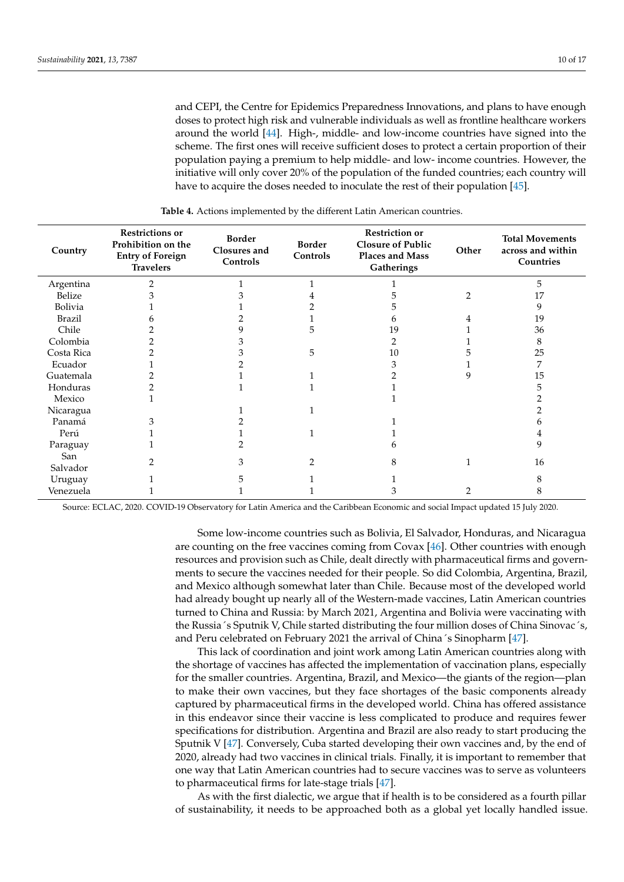and CEPI, the Centre for Epidemics Preparedness Innovations, and plans to have enough doses to protect high risk and vulnerable individuals as well as frontline healthcare workers around the world [\[44\]](#page-15-16). High-, middle- and low-income countries have signed into the scheme. The first ones will receive sufficient doses to protect a certain proportion of their population paying a premium to help middle- and low- income countries. However, the initiative will only cover 20% of the population of the funded countries; each country will have to acquire the doses needed to inoculate the rest of their population [\[45\]](#page-15-17).

<span id="page-9-0"></span>

| Country         | <b>Restrictions or</b><br>Prohibition on the<br><b>Entry of Foreign</b><br><b>Travelers</b> | <b>Border</b><br>Closures and<br>Controls | <b>Border</b><br>Controls | <b>Restriction or</b><br><b>Closure of Public</b><br>Places and Mass<br>Gatherings | Other          | <b>Total Movements</b><br>across and within<br>Countries |
|-----------------|---------------------------------------------------------------------------------------------|-------------------------------------------|---------------------------|------------------------------------------------------------------------------------|----------------|----------------------------------------------------------|
| Argentina       |                                                                                             |                                           |                           |                                                                                    |                | 5                                                        |
| Belize          |                                                                                             |                                           |                           |                                                                                    | $\overline{2}$ | 17                                                       |
| Bolivia         |                                                                                             |                                           |                           |                                                                                    |                | 9                                                        |
| <b>Brazil</b>   |                                                                                             |                                           |                           | n                                                                                  |                | 19                                                       |
| Chile           |                                                                                             |                                           | 5                         | 19                                                                                 |                | 36                                                       |
| Colombia        |                                                                                             |                                           |                           |                                                                                    |                | 8                                                        |
| Costa Rica      |                                                                                             |                                           | 5                         | 10                                                                                 |                | 25                                                       |
| Ecuador         |                                                                                             |                                           |                           |                                                                                    |                | 7                                                        |
| Guatemala       |                                                                                             |                                           |                           |                                                                                    |                | 15                                                       |
| Honduras        |                                                                                             |                                           |                           |                                                                                    |                | 5                                                        |
| Mexico          |                                                                                             |                                           |                           |                                                                                    |                |                                                          |
| Nicaragua       |                                                                                             |                                           |                           |                                                                                    |                |                                                          |
| Panamá          |                                                                                             |                                           |                           |                                                                                    |                |                                                          |
| Perú            |                                                                                             |                                           |                           |                                                                                    |                |                                                          |
| Paraguay        |                                                                                             |                                           |                           |                                                                                    |                | 9                                                        |
| San<br>Salvador |                                                                                             | З                                         | $\mathfrak{D}$            | 8                                                                                  |                | 16                                                       |
| Uruguay         |                                                                                             |                                           |                           |                                                                                    |                |                                                          |
| Venezuela       |                                                                                             |                                           |                           | З                                                                                  | $\overline{2}$ | 8                                                        |

**Table 4.** Actions implemented by the different Latin American countries.

Source: ECLAC, 2020. COVID-19 Observatory for Latin America and the Caribbean Economic and social Impact updated 15 July 2020.

Some low-income countries such as Bolivia, El Salvador, Honduras, and Nicaragua are counting on the free vaccines coming from Covax [\[46\]](#page-15-18). Other countries with enough resources and provision such as Chile, dealt directly with pharmaceutical firms and governments to secure the vaccines needed for their people. So did Colombia, Argentina, Brazil, and Mexico although somewhat later than Chile. Because most of the developed world had already bought up nearly all of the Western-made vaccines, Latin American countries turned to China and Russia: by March 2021, Argentina and Bolivia were vaccinating with the Russia´s Sputnik V, Chile started distributing the four million doses of China Sinovac´s, and Peru celebrated on February 2021 the arrival of China´s Sinopharm [\[47\]](#page-15-19).

This lack of coordination and joint work among Latin American countries along with the shortage of vaccines has affected the implementation of vaccination plans, especially for the smaller countries. Argentina, Brazil, and Mexico—the giants of the region—plan to make their own vaccines, but they face shortages of the basic components already captured by pharmaceutical firms in the developed world. China has offered assistance in this endeavor since their vaccine is less complicated to produce and requires fewer specifications for distribution. Argentina and Brazil are also ready to start producing the Sputnik V [\[47\]](#page-15-19). Conversely, Cuba started developing their own vaccines and, by the end of 2020, already had two vaccines in clinical trials. Finally, it is important to remember that one way that Latin American countries had to secure vaccines was to serve as volunteers to pharmaceutical firms for late-stage trials [\[47\]](#page-15-19).

As with the first dialectic, we argue that if health is to be considered as a fourth pillar of sustainability, it needs to be approached both as a global yet locally handled issue.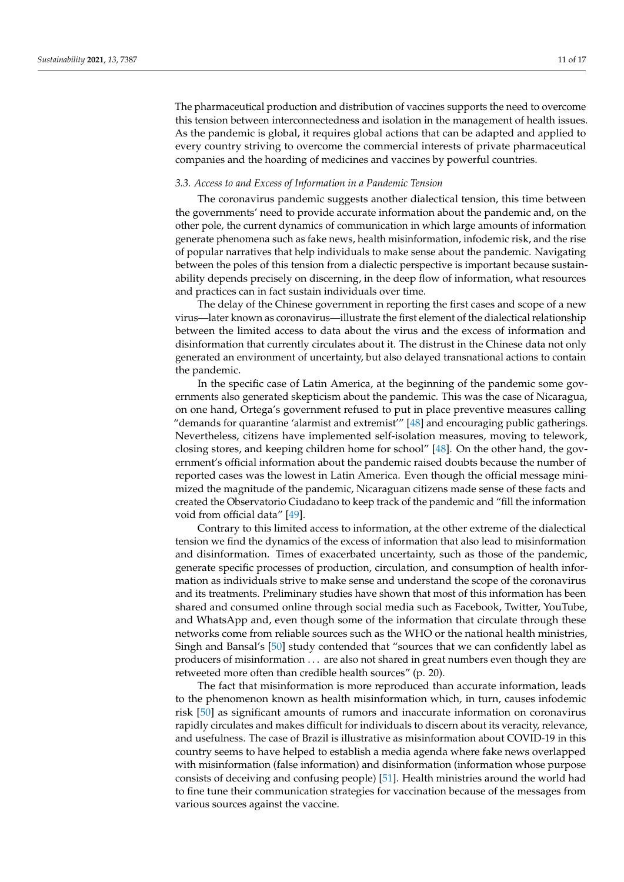The pharmaceutical production and distribution of vaccines supports the need to overcome this tension between interconnectedness and isolation in the management of health issues. As the pandemic is global, it requires global actions that can be adapted and applied to every country striving to overcome the commercial interests of private pharmaceutical companies and the hoarding of medicines and vaccines by powerful countries.

### *3.3. Access to and Excess of Information in a Pandemic Tension*

The coronavirus pandemic suggests another dialectical tension, this time between the governments' need to provide accurate information about the pandemic and, on the other pole, the current dynamics of communication in which large amounts of information generate phenomena such as fake news, health misinformation, infodemic risk, and the rise of popular narratives that help individuals to make sense about the pandemic. Navigating between the poles of this tension from a dialectic perspective is important because sustainability depends precisely on discerning, in the deep flow of information, what resources and practices can in fact sustain individuals over time.

The delay of the Chinese government in reporting the first cases and scope of a new virus—later known as coronavirus—illustrate the first element of the dialectical relationship between the limited access to data about the virus and the excess of information and disinformation that currently circulates about it. The distrust in the Chinese data not only generated an environment of uncertainty, but also delayed transnational actions to contain the pandemic.

In the specific case of Latin America, at the beginning of the pandemic some governments also generated skepticism about the pandemic. This was the case of Nicaragua, on one hand, Ortega's government refused to put in place preventive measures calling "demands for quarantine 'alarmist and extremist'" [\[48\]](#page-15-20) and encouraging public gatherings. Nevertheless, citizens have implemented self-isolation measures, moving to telework, closing stores, and keeping children home for school" [\[48\]](#page-15-20). On the other hand, the government's official information about the pandemic raised doubts because the number of reported cases was the lowest in Latin America. Even though the official message minimized the magnitude of the pandemic, Nicaraguan citizens made sense of these facts and created the Observatorio Ciudadano to keep track of the pandemic and "fill the information void from official data" [\[49\]](#page-15-21).

Contrary to this limited access to information, at the other extreme of the dialectical tension we find the dynamics of the excess of information that also lead to misinformation and disinformation. Times of exacerbated uncertainty, such as those of the pandemic, generate specific processes of production, circulation, and consumption of health information as individuals strive to make sense and understand the scope of the coronavirus and its treatments. Preliminary studies have shown that most of this information has been shared and consumed online through social media such as Facebook, Twitter, YouTube, and WhatsApp and, even though some of the information that circulate through these networks come from reliable sources such as the WHO or the national health ministries, Singh and Bansal's [\[50\]](#page-16-0) study contended that "sources that we can confidently label as producers of misinformation . . . are also not shared in great numbers even though they are retweeted more often than credible health sources" (p. 20).

The fact that misinformation is more reproduced than accurate information, leads to the phenomenon known as health misinformation which, in turn, causes infodemic risk [\[50\]](#page-16-0) as significant amounts of rumors and inaccurate information on coronavirus rapidly circulates and makes difficult for individuals to discern about its veracity, relevance, and usefulness. The case of Brazil is illustrative as misinformation about COVID-19 in this country seems to have helped to establish a media agenda where fake news overlapped with misinformation (false information) and disinformation (information whose purpose consists of deceiving and confusing people) [\[51\]](#page-16-1). Health ministries around the world had to fine tune their communication strategies for vaccination because of the messages from various sources against the vaccine.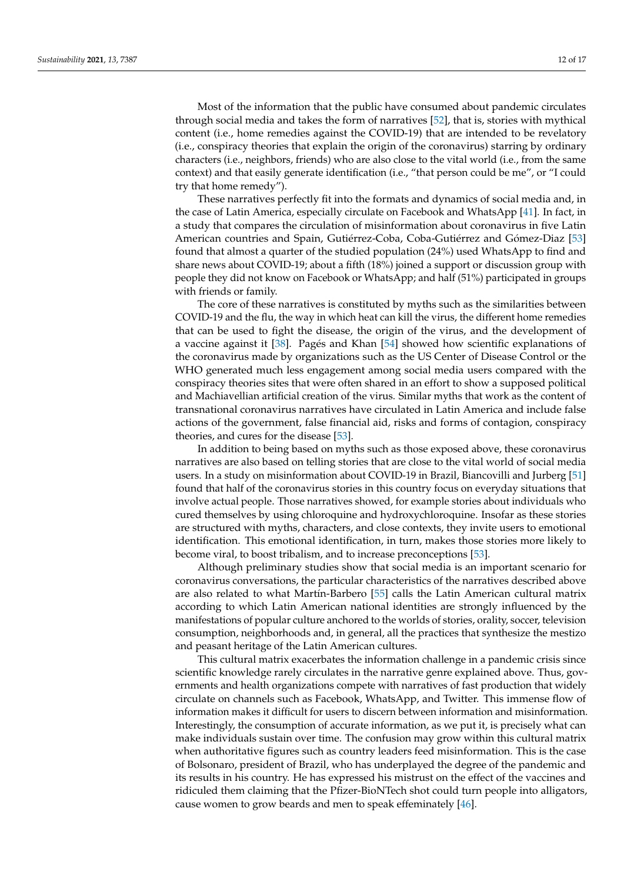Most of the information that the public have consumed about pandemic circulates through social media and takes the form of narratives [\[52\]](#page-16-2), that is, stories with mythical content (i.e., home remedies against the COVID-19) that are intended to be revelatory (i.e., conspiracy theories that explain the origin of the coronavirus) starring by ordinary characters (i.e., neighbors, friends) who are also close to the vital world (i.e., from the same context) and that easily generate identification (i.e., "that person could be me", or "I could try that home remedy").

These narratives perfectly fit into the formats and dynamics of social media and, in the case of Latin America, especially circulate on Facebook and WhatsApp [\[41\]](#page-15-13). In fact, in a study that compares the circulation of misinformation about coronavirus in five Latin American countries and Spain, Gutiérrez-Coba, Coba-Gutiérrez and Gómez-Diaz [\[53\]](#page-16-3) found that almost a quarter of the studied population (24%) used WhatsApp to find and share news about COVID-19; about a fifth (18%) joined a support or discussion group with people they did not know on Facebook or WhatsApp; and half (51%) participated in groups with friends or family.

The core of these narratives is constituted by myths such as the similarities between COVID-19 and the flu, the way in which heat can kill the virus, the different home remedies that can be used to fight the disease, the origin of the virus, and the development of a vaccine against it [\[38\]](#page-15-10). Pagés and Khan [\[54\]](#page-16-4) showed how scientific explanations of the coronavirus made by organizations such as the US Center of Disease Control or the WHO generated much less engagement among social media users compared with the conspiracy theories sites that were often shared in an effort to show a supposed political and Machiavellian artificial creation of the virus. Similar myths that work as the content of transnational coronavirus narratives have circulated in Latin America and include false actions of the government, false financial aid, risks and forms of contagion, conspiracy theories, and cures for the disease [\[53\]](#page-16-3).

In addition to being based on myths such as those exposed above, these coronavirus narratives are also based on telling stories that are close to the vital world of social media users. In a study on misinformation about COVID-19 in Brazil, Biancovilli and Jurberg [\[51\]](#page-16-1) found that half of the coronavirus stories in this country focus on everyday situations that involve actual people. Those narratives showed, for example stories about individuals who cured themselves by using chloroquine and hydroxychloroquine. Insofar as these stories are structured with myths, characters, and close contexts, they invite users to emotional identification. This emotional identification, in turn, makes those stories more likely to become viral, to boost tribalism, and to increase preconceptions [\[53\]](#page-16-3).

Although preliminary studies show that social media is an important scenario for coronavirus conversations, the particular characteristics of the narratives described above are also related to what Martín-Barbero [\[55\]](#page-16-5) calls the Latin American cultural matrix according to which Latin American national identities are strongly influenced by the manifestations of popular culture anchored to the worlds of stories, orality, soccer, television consumption, neighborhoods and, in general, all the practices that synthesize the mestizo and peasant heritage of the Latin American cultures.

This cultural matrix exacerbates the information challenge in a pandemic crisis since scientific knowledge rarely circulates in the narrative genre explained above. Thus, governments and health organizations compete with narratives of fast production that widely circulate on channels such as Facebook, WhatsApp, and Twitter. This immense flow of information makes it difficult for users to discern between information and misinformation. Interestingly, the consumption of accurate information, as we put it, is precisely what can make individuals sustain over time. The confusion may grow within this cultural matrix when authoritative figures such as country leaders feed misinformation. This is the case of Bolsonaro, president of Brazil, who has underplayed the degree of the pandemic and its results in his country. He has expressed his mistrust on the effect of the vaccines and ridiculed them claiming that the Pfizer-BioNTech shot could turn people into alligators, cause women to grow beards and men to speak effeminately [\[46\]](#page-15-18).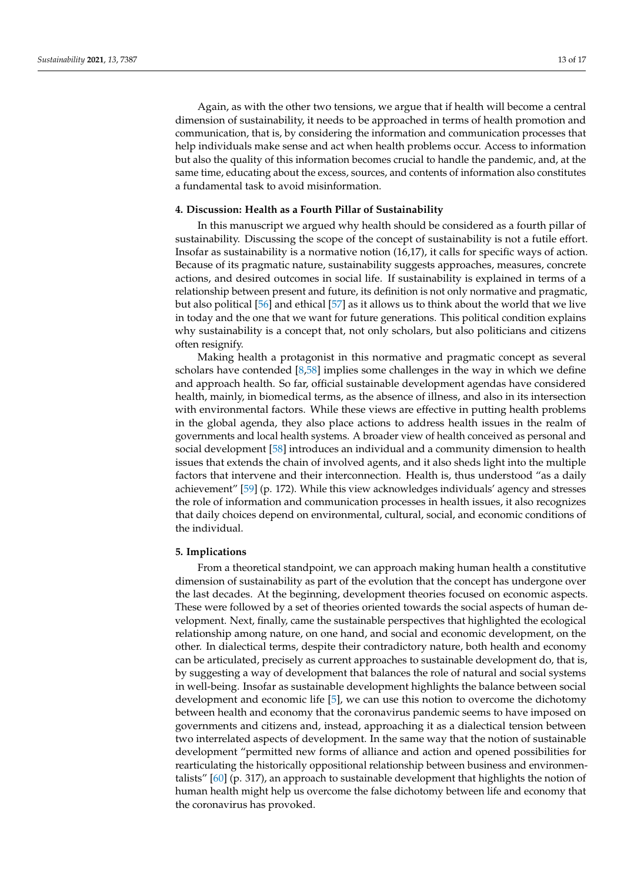Again, as with the other two tensions, we argue that if health will become a central dimension of sustainability, it needs to be approached in terms of health promotion and communication, that is, by considering the information and communication processes that help individuals make sense and act when health problems occur. Access to information but also the quality of this information becomes crucial to handle the pandemic, and, at the same time, educating about the excess, sources, and contents of information also constitutes a fundamental task to avoid misinformation.

# **4. Discussion: Health as a Fourth Pillar of Sustainability**

In this manuscript we argued why health should be considered as a fourth pillar of sustainability. Discussing the scope of the concept of sustainability is not a futile effort. Insofar as sustainability is a normative notion (16,17), it calls for specific ways of action. Because of its pragmatic nature, sustainability suggests approaches, measures, concrete actions, and desired outcomes in social life. If sustainability is explained in terms of a relationship between present and future, its definition is not only normative and pragmatic, but also political [\[56\]](#page-16-6) and ethical [\[57\]](#page-16-7) as it allows us to think about the world that we live in today and the one that we want for future generations. This political condition explains why sustainability is a concept that, not only scholars, but also politicians and citizens often resignify.

Making health a protagonist in this normative and pragmatic concept as several scholars have contended [\[8,](#page-14-7)[58\]](#page-16-8) implies some challenges in the way in which we define and approach health. So far, official sustainable development agendas have considered health, mainly, in biomedical terms, as the absence of illness, and also in its intersection with environmental factors. While these views are effective in putting health problems in the global agenda, they also place actions to address health issues in the realm of governments and local health systems. A broader view of health conceived as personal and social development [\[58\]](#page-16-8) introduces an individual and a community dimension to health issues that extends the chain of involved agents, and it also sheds light into the multiple factors that intervene and their interconnection. Health is, thus understood "as a daily achievement" [\[59\]](#page-16-9) (p. 172). While this view acknowledges individuals' agency and stresses the role of information and communication processes in health issues, it also recognizes that daily choices depend on environmental, cultural, social, and economic conditions of the individual.

### **5. Implications**

From a theoretical standpoint, we can approach making human health a constitutive dimension of sustainability as part of the evolution that the concept has undergone over the last decades. At the beginning, development theories focused on economic aspects. These were followed by a set of theories oriented towards the social aspects of human development. Next, finally, came the sustainable perspectives that highlighted the ecological relationship among nature, on one hand, and social and economic development, on the other. In dialectical terms, despite their contradictory nature, both health and economy can be articulated, precisely as current approaches to sustainable development do, that is, by suggesting a way of development that balances the role of natural and social systems in well-being. Insofar as sustainable development highlights the balance between social development and economic life [\[5\]](#page-14-4), we can use this notion to overcome the dichotomy between health and economy that the coronavirus pandemic seems to have imposed on governments and citizens and, instead, approaching it as a dialectical tension between two interrelated aspects of development. In the same way that the notion of sustainable development "permitted new forms of alliance and action and opened possibilities for rearticulating the historically oppositional relationship between business and environmentalists" [\[60\]](#page-16-10) (p. 317), an approach to sustainable development that highlights the notion of human health might help us overcome the false dichotomy between life and economy that the coronavirus has provoked.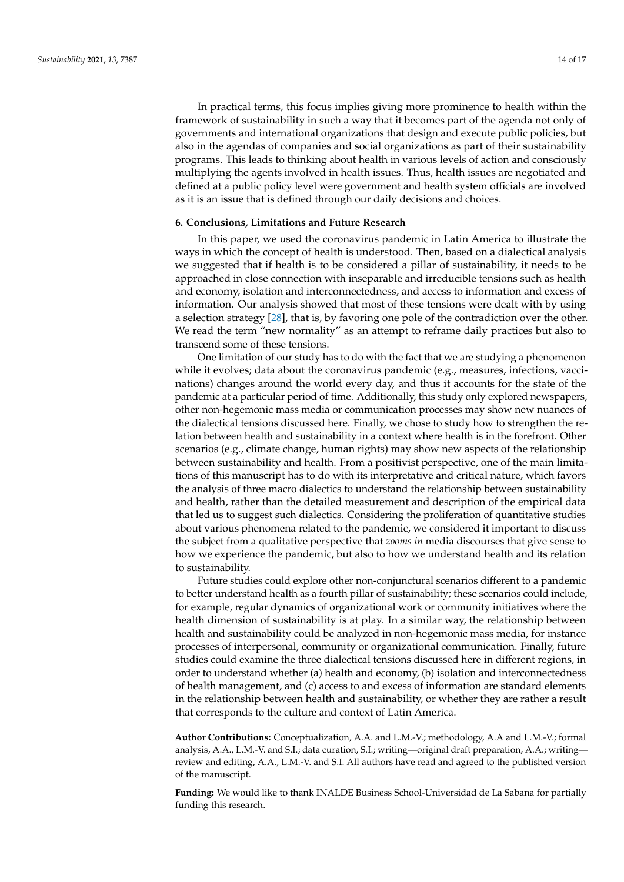In practical terms, this focus implies giving more prominence to health within the framework of sustainability in such a way that it becomes part of the agenda not only of governments and international organizations that design and execute public policies, but also in the agendas of companies and social organizations as part of their sustainability programs. This leads to thinking about health in various levels of action and consciously multiplying the agents involved in health issues. Thus, health issues are negotiated and defined at a public policy level were government and health system officials are involved as it is an issue that is defined through our daily decisions and choices.

# **6. Conclusions, Limitations and Future Research**

In this paper, we used the coronavirus pandemic in Latin America to illustrate the ways in which the concept of health is understood. Then, based on a dialectical analysis we suggested that if health is to be considered a pillar of sustainability, it needs to be approached in close connection with inseparable and irreducible tensions such as health and economy, isolation and interconnectedness, and access to information and excess of information. Our analysis showed that most of these tensions were dealt with by using a selection strategy [\[28\]](#page-15-0), that is, by favoring one pole of the contradiction over the other. We read the term "new normality" as an attempt to reframe daily practices but also to transcend some of these tensions.

One limitation of our study has to do with the fact that we are studying a phenomenon while it evolves; data about the coronavirus pandemic (e.g., measures, infections, vaccinations) changes around the world every day, and thus it accounts for the state of the pandemic at a particular period of time. Additionally, this study only explored newspapers, other non-hegemonic mass media or communication processes may show new nuances of the dialectical tensions discussed here. Finally, we chose to study how to strengthen the relation between health and sustainability in a context where health is in the forefront. Other scenarios (e.g., climate change, human rights) may show new aspects of the relationship between sustainability and health. From a positivist perspective, one of the main limitations of this manuscript has to do with its interpretative and critical nature, which favors the analysis of three macro dialectics to understand the relationship between sustainability and health, rather than the detailed measurement and description of the empirical data that led us to suggest such dialectics. Considering the proliferation of quantitative studies about various phenomena related to the pandemic, we considered it important to discuss the subject from a qualitative perspective that *zooms in* media discourses that give sense to how we experience the pandemic, but also to how we understand health and its relation to sustainability.

Future studies could explore other non-conjunctural scenarios different to a pandemic to better understand health as a fourth pillar of sustainability; these scenarios could include, for example, regular dynamics of organizational work or community initiatives where the health dimension of sustainability is at play. In a similar way, the relationship between health and sustainability could be analyzed in non-hegemonic mass media, for instance processes of interpersonal, community or organizational communication. Finally, future studies could examine the three dialectical tensions discussed here in different regions, in order to understand whether (a) health and economy, (b) isolation and interconnectedness of health management, and (c) access to and excess of information are standard elements in the relationship between health and sustainability, or whether they are rather a result that corresponds to the culture and context of Latin America.

**Author Contributions:** Conceptualization, A.A. and L.M.-V.; methodology, A.A and L.M.-V.; formal analysis, A.A., L.M.-V. and S.I.; data curation, S.I.; writing—original draft preparation, A.A.; writing review and editing, A.A., L.M.-V. and S.I. All authors have read and agreed to the published version of the manuscript.

**Funding:** We would like to thank INALDE Business School-Universidad de La Sabana for partially funding this research.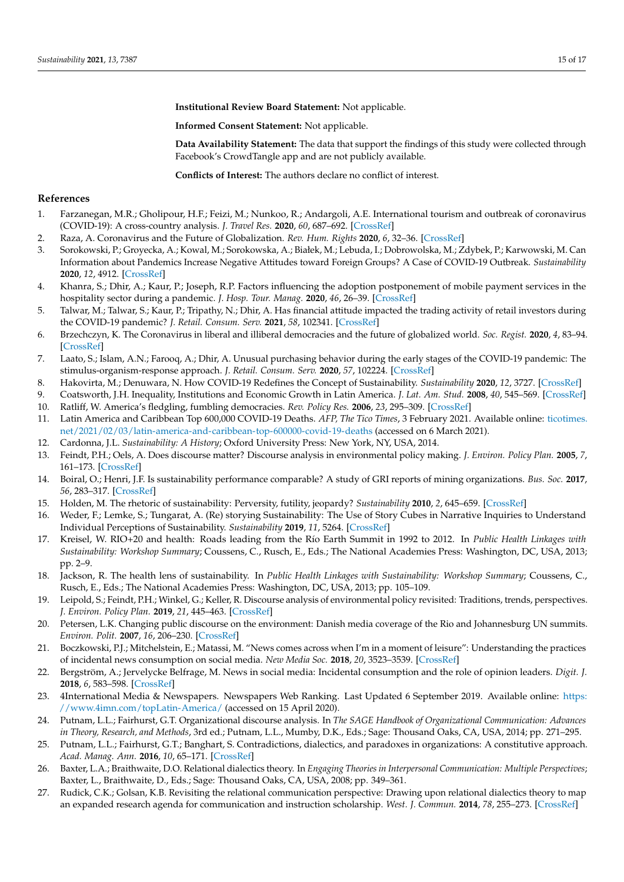**Institutional Review Board Statement:** Not applicable.

**Informed Consent Statement:** Not applicable.

**Data Availability Statement:** The data that support the findings of this study were collected through Facebook's CrowdTangle app and are not publicly available.

**Conflicts of Interest:** The authors declare no conflict of interest.

# **References**

- <span id="page-14-0"></span>1. Farzanegan, M.R.; Gholipour, H.F.; Feizi, M.; Nunkoo, R.; Andargoli, A.E. International tourism and outbreak of coronavirus (COVID-19): A cross-country analysis. *J. Travel Res.* **2020**, *60*, 687–692. [\[CrossRef\]](http://doi.org/10.1177/0047287520931593)
- <span id="page-14-1"></span>2. Raza, A. Coronavirus and the Future of Globalization. *Rev. Hum. Rights* **2020**, *6*, 32–36. [\[CrossRef\]](http://doi.org/10.35994/rhr.v6i1.108)
- <span id="page-14-2"></span>3. Sorokowski, P.; Groyecka, A.; Kowal, M.; Sorokowska, A.; Białek, M.; Lebuda, I.; Dobrowolska, M.; Zdybek, P.; Karwowski, M. Can Information about Pandemics Increase Negative Attitudes toward Foreign Groups? A Case of COVID-19 Outbreak. *Sustainability* **2020**, *12*, 4912. [\[CrossRef\]](http://doi.org/10.3390/su12124912)
- <span id="page-14-3"></span>4. Khanra, S.; Dhir, A.; Kaur, P.; Joseph, R.P. Factors influencing the adoption postponement of mobile payment services in the hospitality sector during a pandemic. *J. Hosp. Tour. Manag.* **2020**, *46*, 26–39. [\[CrossRef\]](http://doi.org/10.1016/j.jhtm.2020.11.004)
- <span id="page-14-4"></span>5. Talwar, M.; Talwar, S.; Kaur, P.; Tripathy, N.; Dhir, A. Has financial attitude impacted the trading activity of retail investors during the COVID-19 pandemic? *J. Retail. Consum. Serv.* **2021**, *58*, 102341. [\[CrossRef\]](http://doi.org/10.1016/j.jretconser.2020.102341)
- <span id="page-14-5"></span>6. Brzechczyn, K. The Coronavirus in liberal and illiberal democracies and the future of globalized world. *Soc. Regist.* **2020**, *4*, 83–94. [\[CrossRef\]](http://doi.org/10.14746/sr.2020.4.2.06)
- <span id="page-14-6"></span>7. Laato, S.; Islam, A.N.; Farooq, A.; Dhir, A. Unusual purchasing behavior during the early stages of the COVID-19 pandemic: The stimulus-organism-response approach. *J. Retail. Consum. Serv.* **2020**, *57*, 102224. [\[CrossRef\]](http://doi.org/10.1016/j.jretconser.2020.102224)
- <span id="page-14-7"></span>8. Hakovirta, M.; Denuwara, N. How COVID-19 Redefines the Concept of Sustainability. *Sustainability* **2020**, *12*, 3727. [\[CrossRef\]](http://doi.org/10.3390/su12093727)
- <span id="page-14-8"></span>9. Coatsworth, J.H. Inequality, Institutions and Economic Growth in Latin America. *J. Lat. Am. Stud.* **2008**, *40*, 545–569. [\[CrossRef\]](http://doi.org/10.1017/S0022216X08004689)
- <span id="page-14-9"></span>10. Ratliff, W. America's fledgling, fumbling democracies. *Rev. Policy Res.* **2006**, *23*, 295–309. [\[CrossRef\]](http://doi.org/10.1111/j.1541-1338.2006.00202.x)
- <span id="page-14-10"></span>11. Latin America and Caribbean Top 600,000 COVID-19 Deaths. *AFP, The Tico Times*, 3 February 2021. Available online: [ticotimes.](ticotimes.net/2021/02/03/latin-america-and-caribbean-top-600000-covid-19-deaths) [net/2021/02/03/latin-america-and-caribbean-top-600000-covid-19-deaths](ticotimes.net/2021/02/03/latin-america-and-caribbean-top-600000-covid-19-deaths) (accessed on 6 March 2021).
- <span id="page-14-11"></span>12. Cardonna, J.L. *Sustainability: A History*; Oxford University Press: New York, NY, USA, 2014.
- <span id="page-14-12"></span>13. Feindt, P.H.; Oels, A. Does discourse matter? Discourse analysis in environmental policy making. *J. Environ. Policy Plan.* **2005**, *7*, 161–173. [\[CrossRef\]](http://doi.org/10.1080/15239080500339638)
- <span id="page-14-13"></span>14. Boiral, O.; Henri, J.F. Is sustainability performance comparable? A study of GRI reports of mining organizations. *Bus. Soc.* **2017**, *56*, 283–317. [\[CrossRef\]](http://doi.org/10.1177/0007650315576134)
- <span id="page-14-14"></span>15. Holden, M. The rhetoric of sustainability: Perversity, futility, jeopardy? *Sustainability* **2010**, *2*, 645–659. [\[CrossRef\]](http://doi.org/10.3390/su2020645)
- <span id="page-14-15"></span>16. Weder, F.; Lemke, S.; Tungarat, A. (Re) storying Sustainability: The Use of Story Cubes in Narrative Inquiries to Understand Individual Perceptions of Sustainability. *Sustainability* **2019**, *11*, 5264. [\[CrossRef\]](http://doi.org/10.3390/su11195264)
- <span id="page-14-16"></span>17. Kreisel, W. RIO+20 and health: Roads leading from the Río Earth Summit in 1992 to 2012. In *Public Health Linkages with Sustainability: Workshop Summary*; Coussens, C., Rusch, E., Eds.; The National Academies Press: Washington, DC, USA, 2013; pp. 2–9.
- <span id="page-14-17"></span>18. Jackson, R. The health lens of sustainability. In *Public Health Linkages with Sustainability: Workshop Summary*; Coussens, C., Rusch, E., Eds.; The National Academies Press: Washington, DC, USA, 2013; pp. 105–109.
- <span id="page-14-18"></span>19. Leipold, S.; Feindt, P.H.; Winkel, G.; Keller, R. Discourse analysis of environmental policy revisited: Traditions, trends, perspectives. *J. Environ. Policy Plan.* **2019**, *21*, 445–463. [\[CrossRef\]](http://doi.org/10.1080/1523908X.2019.1660462)
- <span id="page-14-19"></span>20. Petersen, L.K. Changing public discourse on the environment: Danish media coverage of the Rio and Johannesburg UN summits. *Environ. Polit.* **2007**, *16*, 206–230. [\[CrossRef\]](http://doi.org/10.1080/09644010701211676)
- <span id="page-14-20"></span>21. Boczkowski, P.J.; Mitchelstein, E.; Matassi, M. "News comes across when I'm in a moment of leisure": Understanding the practices of incidental news consumption on social media. *New Media Soc.* **2018**, *20*, 3523–3539. [\[CrossRef\]](http://doi.org/10.1177/1461444817750396)
- <span id="page-14-21"></span>22. Bergström, A.; Jervelycke Belfrage, M. News in social media: Incidental consumption and the role of opinion leaders. *Digit. J.* **2018**, *6*, 583–598. [\[CrossRef\]](http://doi.org/10.1080/21670811.2018.1423625)
- <span id="page-14-22"></span>23. 4International Media & Newspapers. Newspapers Web Ranking. Last Updated 6 September 2019. Available online: [https:](https://www.4imn.com/topLatin-America/) [//www.4imn.com/topLatin-America/](https://www.4imn.com/topLatin-America/) (accessed on 15 April 2020).
- <span id="page-14-23"></span>24. Putnam, L.L.; Fairhurst, G.T. Organizational discourse analysis. In *The SAGE Handbook of Organizational Communication: Advances in Theory, Research, and Methods*, 3rd ed.; Putnam, L.L., Mumby, D.K., Eds.; Sage: Thousand Oaks, CA, USA, 2014; pp. 271–295.
- <span id="page-14-24"></span>25. Putnam, L.L.; Fairhurst, G.T.; Banghart, S. Contradictions, dialectics, and paradoxes in organizations: A constitutive approach. *Acad. Manag. Ann.* **2016**, *10*, 65–171. [\[CrossRef\]](http://doi.org/10.5465/19416520.2016.1162421)
- <span id="page-14-25"></span>26. Baxter, L.A.; Braithwaite, D.O. Relational dialectics theory. In *Engaging Theories in Interpersonal Communication: Multiple Perspectives*; Baxter, L., Braithwaite, D., Eds.; Sage: Thousand Oaks, CA, USA, 2008; pp. 349–361.
- <span id="page-14-26"></span>27. Rudick, C.K.; Golsan, K.B. Revisiting the relational communication perspective: Drawing upon relational dialectics theory to map an expanded research agenda for communication and instruction scholarship. *West. J. Commun.* **2014**, *78*, 255–273. [\[CrossRef\]](http://doi.org/10.1080/10570314.2014.905796)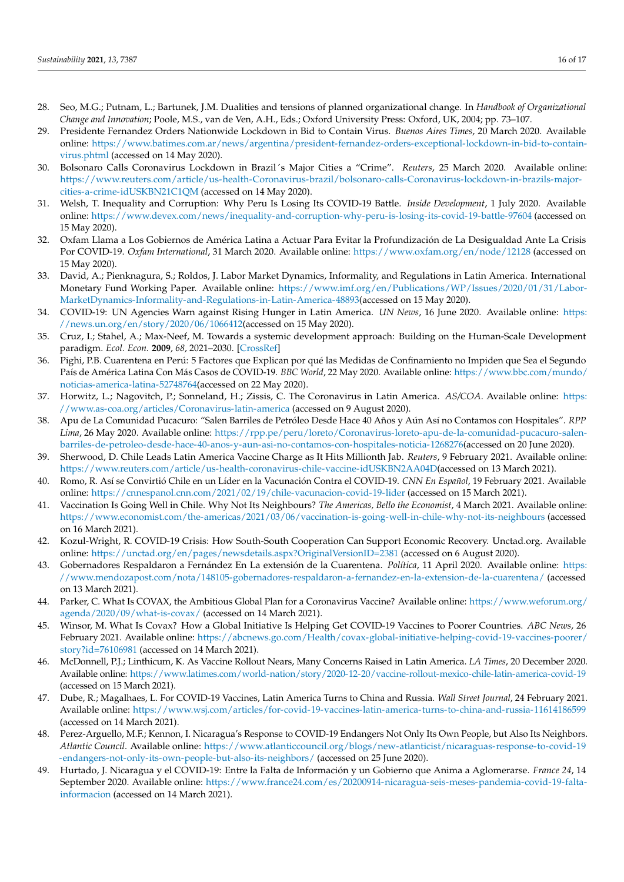- <span id="page-15-0"></span>28. Seo, M.G.; Putnam, L.; Bartunek, J.M. Dualities and tensions of planned organizational change. In *Handbook of Organizational Change and Innovation*; Poole, M.S., van de Ven, A.H., Eds.; Oxford University Press: Oxford, UK, 2004; pp. 73–107.
- <span id="page-15-1"></span>29. Presidente Fernandez Orders Nationwide Lockdown in Bid to Contain Virus. *Buenos Aires Times*, 20 March 2020. Available online: [https://www.batimes.com.ar/news/argentina/president-fernandez-orders-exceptional-lockdown-in-bid-to-contain](https://www.batimes.com.ar/news/argentina/president-fernandez-orders-exceptional-lockdown-in-bid-to-contain-virus.phtml)[virus.phtml](https://www.batimes.com.ar/news/argentina/president-fernandez-orders-exceptional-lockdown-in-bid-to-contain-virus.phtml) (accessed on 14 May 2020).
- <span id="page-15-2"></span>30. Bolsonaro Calls Coronavirus Lockdown in Brazil´s Major Cities a "Crime". *Reuters*, 25 March 2020. Available online: [https://www.reuters.com/article/us-health-Coronavirus-brazil/bolsonaro-calls-Coronavirus-lockdown-in-brazils-major](https://www.reuters.com/article/us-health-Coronavirus-brazil/bolsonaro-calls-Coronavirus-lockdown-in-brazils-major-cities-a-crime-idUSKBN21C1QM)[cities-a-crime-idUSKBN21C1QM](https://www.reuters.com/article/us-health-Coronavirus-brazil/bolsonaro-calls-Coronavirus-lockdown-in-brazils-major-cities-a-crime-idUSKBN21C1QM) (accessed on 14 May 2020).
- <span id="page-15-3"></span>31. Welsh, T. Inequality and Corruption: Why Peru Is Losing Its COVID-19 Battle. *Inside Development*, 1 July 2020. Available online: <https://www.devex.com/news/inequality-and-corruption-why-peru-is-losing-its-covid-19-battle-97604> (accessed on 15 May 2020).
- <span id="page-15-4"></span>32. Oxfam Llama a Los Gobiernos de América Latina a Actuar Para Evitar la Profundización de La Desigualdad Ante La Crisis Por COVID-19. *Oxfam International*, 31 March 2020. Available online: <https://www.oxfam.org/en/node/12128> (accessed on 15 May 2020).
- <span id="page-15-5"></span>33. David, A.; Pienknagura, S.; Roldos, J. Labor Market Dynamics, Informality, and Regulations in Latin America. International Monetary Fund Working Paper. Available online: [https://www.imf.org/en/Publications/WP/Issues/2020/01/31/Labor-](https://www.imf.org/en/Publications/WP/Issues/2020/01/31/Labor-MarketDynamics-Informality-and-Regulations-in-Latin-America-48893)[MarketDynamics-Informality-and-Regulations-in-Latin-America-48893\(](https://www.imf.org/en/Publications/WP/Issues/2020/01/31/Labor-MarketDynamics-Informality-and-Regulations-in-Latin-America-48893)accessed on 15 May 2020).
- <span id="page-15-6"></span>34. COVID-19: UN Agencies Warn against Rising Hunger in Latin America. *UN News*, 16 June 2020. Available online: [https:](https://news.un.org/en/story/2020/06/1066412) [//news.un.org/en/story/2020/06/1066412\(](https://news.un.org/en/story/2020/06/1066412)accessed on 15 May 2020).
- <span id="page-15-7"></span>35. Cruz, I.; Stahel, A.; Max-Neef, M. Towards a systemic development approach: Building on the Human-Scale Development paradigm. *Ecol. Econ.* **2009**, *68*, 2021–2030. [\[CrossRef\]](http://doi.org/10.1016/j.ecolecon.2009.02.004)
- <span id="page-15-8"></span>36. Pighi, P.B. Cuarentena en Perú: 5 Factores que Explican por qué las Medidas de Confinamiento no Impiden que Sea el Segundo País de América Latina Con Más Casos de COVID-19. *BBC World*, 22 May 2020. Available online: [https://www.bbc.com/mundo/](https://www.bbc.com/mundo/noticias-america-latina-52748764) [noticias-america-latina-52748764\(](https://www.bbc.com/mundo/noticias-america-latina-52748764)accessed on 22 May 2020).
- <span id="page-15-9"></span>37. Horwitz, L.; Nagovitch, P.; Sonneland, H.; Zissis, C. The Coronavirus in Latin America. *AS/COA*. Available online: [https:](https://www.as-coa.org/articles/Coronavirus-latin-america) [//www.as-coa.org/articles/Coronavirus-latin-america](https://www.as-coa.org/articles/Coronavirus-latin-america) (accessed on 9 August 2020).
- <span id="page-15-10"></span>38. Apu de La Comunidad Pucacuro: "Salen Barriles de Petróleo Desde Hace 40 Años y Aún Así no Contamos con Hospitales". *RPP Lima*, 26 May 2020. Available online: [https://rpp.pe/peru/loreto/Coronavirus-loreto-apu-de-la-comunidad-pucacuro-salen](https://rpp.pe/peru/loreto/Coronavirus-loreto-apu-de-la-comunidad-pucacuro-salen-barriles-de-petroleo-desde-hace-40-anos-y-aun-asi-no-contamos-con-hospitales-noticia-1268276)[barriles-de-petroleo-desde-hace-40-anos-y-aun-asi-no-contamos-con-hospitales-noticia-1268276\(](https://rpp.pe/peru/loreto/Coronavirus-loreto-apu-de-la-comunidad-pucacuro-salen-barriles-de-petroleo-desde-hace-40-anos-y-aun-asi-no-contamos-con-hospitales-noticia-1268276)accessed on 20 June 2020).
- <span id="page-15-11"></span>39. Sherwood, D. Chile Leads Latin America Vaccine Charge as It Hits Millionth Jab. *Reuters*, 9 February 2021. Available online: [https://www.reuters.com/article/us-health-coronavirus-chile-vaccine-idUSKBN2AA04D\(](https://www.reuters.com/article/us-health-coronavirus-chile-vaccine-idUSKBN2AA04D)accessed on 13 March 2021).
- <span id="page-15-12"></span>40. Romo, R. Así se Convirtió Chile en un Líder en la Vacunación Contra el COVID-19. *CNN En Español*, 19 February 2021. Available online: <https://cnnespanol.cnn.com/2021/02/19/chile-vacunacion-covid-19-lider> (accessed on 15 March 2021).
- <span id="page-15-13"></span>41. Vaccination Is Going Well in Chile. Why Not Its Neighbours? *The Americas, Bello the Economist*, 4 March 2021. Available online: <https://www.economist.com/the-americas/2021/03/06/vaccination-is-going-well-in-chile-why-not-its-neighbours> (accessed on 16 March 2021).
- <span id="page-15-14"></span>42. Kozul-Wright, R. COVID-19 Crisis: How South-South Cooperation Can Support Economic Recovery. Unctad.org. Available online: <https://unctad.org/en/pages/newsdetails.aspx?OriginalVersionID=2381> (accessed on 6 August 2020).
- <span id="page-15-15"></span>43. Gobernadores Respaldaron a Fernández En La extensión de la Cuarentena. *Política*, 11 April 2020. Available online: [https:](https://www.mendozapost.com/nota/148105-gobernadores-respaldaron-a-fernandez-en-la-extension-de-la-cuarentena/) [//www.mendozapost.com/nota/148105-gobernadores-respaldaron-a-fernandez-en-la-extension-de-la-cuarentena/](https://www.mendozapost.com/nota/148105-gobernadores-respaldaron-a-fernandez-en-la-extension-de-la-cuarentena/) (accessed on 13 March 2021).
- <span id="page-15-16"></span>44. Parker, C. What Is COVAX, the Ambitious Global Plan for a Coronavirus Vaccine? Available online: [https://www.weforum.org/](https://www.weforum.org/agenda/2020/09/what-is-covax/) [agenda/2020/09/what-is-covax/](https://www.weforum.org/agenda/2020/09/what-is-covax/) (accessed on 14 March 2021).
- <span id="page-15-17"></span>45. Winsor, M. What Is Covax? How a Global Initiative Is Helping Get COVID-19 Vaccines to Poorer Countries. *ABC News*, 26 February 2021. Available online: [https://abcnews.go.com/Health/covax-global-initiative-helping-covid-19-vaccines-poorer/](https://abcnews.go.com/Health/covax-global-initiative-helping-covid-19-vaccines-poorer/story?id=76106981) [story?id=76106981](https://abcnews.go.com/Health/covax-global-initiative-helping-covid-19-vaccines-poorer/story?id=76106981) (accessed on 14 March 2021).
- <span id="page-15-18"></span>46. McDonnell, P.J.; Linthicum, K. As Vaccine Rollout Nears, Many Concerns Raised in Latin America. *LA Times*, 20 December 2020. Available online: <https://www.latimes.com/world-nation/story/2020-12-20/vaccine-rollout-mexico-chile-latin-america-covid-19> (accessed on 15 March 2021).
- <span id="page-15-19"></span>47. Dube, R.; Magalhaes, L. For COVID-19 Vaccines, Latin America Turns to China and Russia. *Wall Street Journal*, 24 February 2021. Available online: <https://www.wsj.com/articles/for-covid-19-vaccines-latin-america-turns-to-china-and-russia-11614186599> (accessed on 14 March 2021).
- <span id="page-15-20"></span>Perez-Arguello, M.F.; Kennon, I. Nicaragua's Response to COVID-19 Endangers Not Only Its Own People, but Also Its Neighbors. *Atlantic Council*. Available online: [https://www.atlanticcouncil.org/blogs/new-atlanticist/nicaraguas-response-to-covid-19](https://www.atlanticcouncil.org/blogs/new-atlanticist/nicaraguas-response-to-covid-19-endangers-not-only-its-own-people-but-also-its-neighbors/) [-endangers-not-only-its-own-people-but-also-its-neighbors/](https://www.atlanticcouncil.org/blogs/new-atlanticist/nicaraguas-response-to-covid-19-endangers-not-only-its-own-people-but-also-its-neighbors/) (accessed on 25 June 2020).
- <span id="page-15-21"></span>49. Hurtado, J. Nicaragua y el COVID-19: Entre la Falta de Información y un Gobierno que Anima a Aglomerarse. *France 24*, 14 September 2020. Available online: [https://www.france24.com/es/20200914-nicaragua-seis-meses-pandemia-covid-19-falta](https://www.france24.com/es/20200914-nicaragua-seis-meses-pandemia-covid-19-falta-informacion)[informacion](https://www.france24.com/es/20200914-nicaragua-seis-meses-pandemia-covid-19-falta-informacion) (accessed on 14 March 2021).